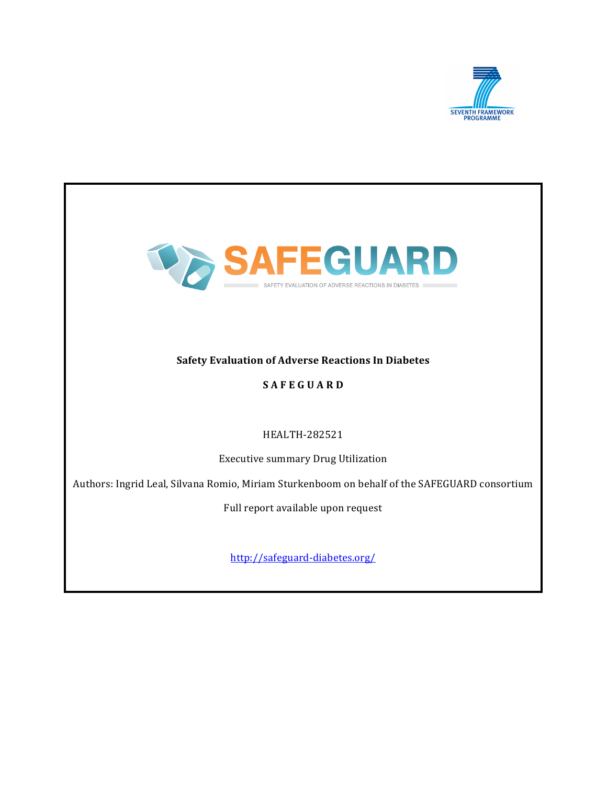



# **Safety Evaluation of Adverse Reactions In Diabetes**

# **SAFEGUARD**

## HEALTH-282521

Executive summary Drug Utilization

Authors: Ingrid Leal, Silvana Romio, Miriam Sturkenboom on behalf of the SAFEGUARD consortium

Full report available upon request

http://safeguard-diabetes.org/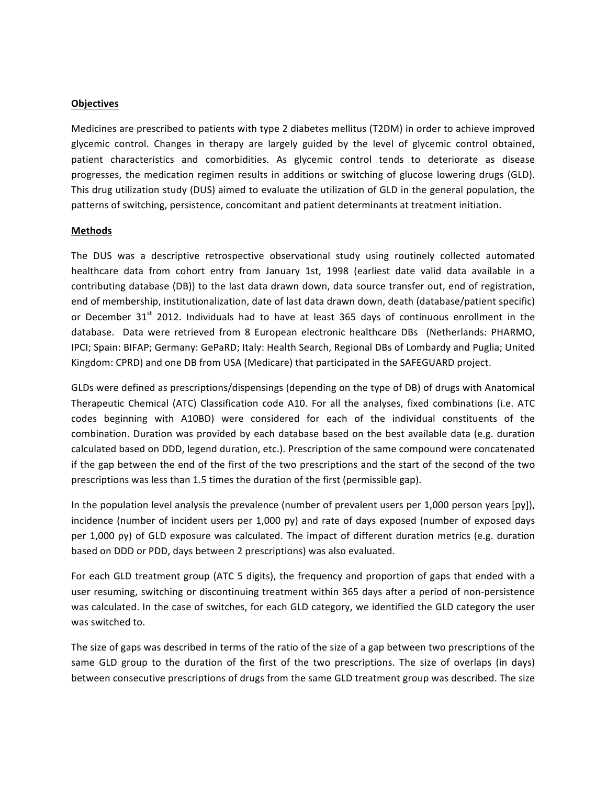#### **Objectives**

Medicines are prescribed to patients with type 2 diabetes mellitus (T2DM) in order to achieve improved glycemic control. Changes in therapy are largely guided by the level of glycemic control obtained, patient characteristics and comorbidities. As glycemic control tends to deteriorate as disease progresses, the medication regimen results in additions or switching of glucose lowering drugs (GLD). This drug utilization study (DUS) aimed to evaluate the utilization of GLD in the general population, the patterns of switching, persistence, concomitant and patient determinants at treatment initiation.

#### **Methods**

The DUS was a descriptive retrospective observational study using routinely collected automated healthcare data from cohort entry from January 1st, 1998 (earliest date valid data available in a contributing database (DB)) to the last data drawn down, data source transfer out, end of registration, end of membership, institutionalization, date of last data drawn down, death (database/patient specific) or December 31<sup>st</sup> 2012. Individuals had to have at least 365 days of continuous enrollment in the database. Data were retrieved from 8 European electronic healthcare DBs (Netherlands: PHARMO, IPCI; Spain: BIFAP; Germany: GePaRD; Italy: Health Search, Regional DBs of Lombardy and Puglia; United Kingdom: CPRD) and one DB from USA (Medicare) that participated in the SAFEGUARD project.

GLDs were defined as prescriptions/dispensings (depending on the type of DB) of drugs with Anatomical Therapeutic Chemical (ATC) Classification code A10. For all the analyses, fixed combinations (i.e. ATC codes beginning with A10BD) were considered for each of the individual constituents of the combination. Duration was provided by each database based on the best available data (e.g. duration calculated based on DDD, legend duration, etc.). Prescription of the same compound were concatenated if the gap between the end of the first of the two prescriptions and the start of the second of the two prescriptions was less than 1.5 times the duration of the first (permissible gap).

In the population level analysis the prevalence (number of prevalent users per 1,000 person years [py]), incidence (number of incident users per 1,000 py) and rate of days exposed (number of exposed days per 1,000 py) of GLD exposure was calculated. The impact of different duration metrics (e.g. duration based on DDD or PDD, days between 2 prescriptions) was also evaluated.

For each GLD treatment group (ATC 5 digits), the frequency and proportion of gaps that ended with a user resuming, switching or discontinuing treatment within 365 days after a period of non-persistence was calculated. In the case of switches, for each GLD category, we identified the GLD category the user was switched to.

The size of gaps was described in terms of the ratio of the size of a gap between two prescriptions of the same GLD group to the duration of the first of the two prescriptions. The size of overlaps (in days) between consecutive prescriptions of drugs from the same GLD treatment group was described. The size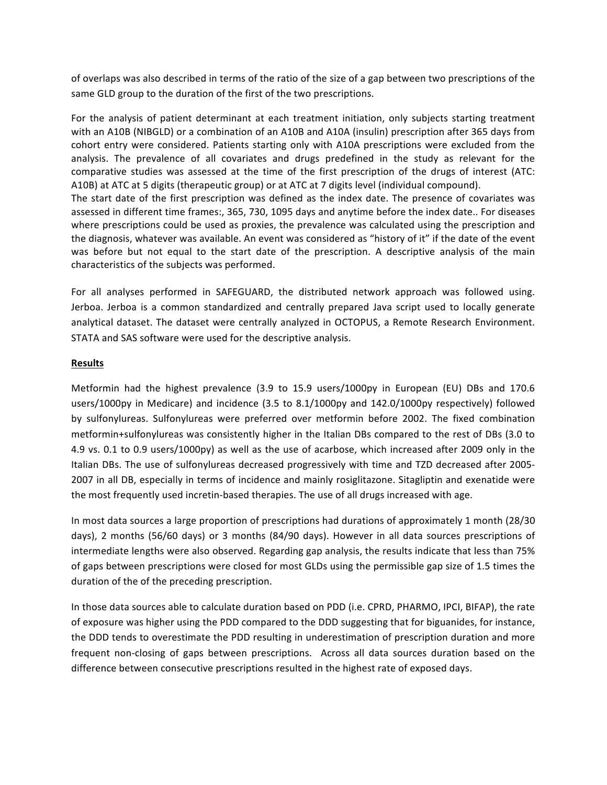of overlaps was also described in terms of the ratio of the size of a gap between two prescriptions of the same GLD group to the duration of the first of the two prescriptions.

For the analysis of patient determinant at each treatment initiation, only subjects starting treatment with an A10B (NIBGLD) or a combination of an A10B and A10A (insulin) prescription after 365 days from cohort entry were considered. Patients starting only with A10A prescriptions were excluded from the analysis. The prevalence of all covariates and drugs predefined in the study as relevant for the comparative studies was assessed at the time of the first prescription of the drugs of interest (ATC: A10B) at ATC at 5 digits (therapeutic group) or at ATC at 7 digits level (individual compound). The start date of the first prescription was defined as the index date. The presence of covariates was assessed in different time frames:, 365, 730, 1095 days and anytime before the index date.. For diseases where prescriptions could be used as proxies, the prevalence was calculated using the prescription and the diagnosis, whatever was available. An event was considered as "history of it" if the date of the event was before but not equal to the start date of the prescription. A descriptive analysis of the main characteristics of the subjects was performed.

For all analyses performed in SAFEGUARD, the distributed network approach was followed using. Jerboa. Jerboa is a common standardized and centrally prepared Java script used to locally generate analytical dataset. The dataset were centrally analyzed in OCTOPUS, a Remote Research Environment. STATA and SAS software were used for the descriptive analysis.

### **Results**

Metformin had the highest prevalence (3.9 to 15.9 users/1000py in European (EU) DBs and 170.6 users/1000py in Medicare) and incidence (3.5 to 8.1/1000py and 142.0/1000py respectively) followed by sulfonylureas. Sulfonylureas were preferred over metformin before 2002. The fixed combination metformin+sulfonylureas was consistently higher in the Italian DBs compared to the rest of DBs (3.0 to 4.9 vs. 0.1 to 0.9 users/1000py) as well as the use of acarbose, which increased after 2009 only in the Italian DBs. The use of sulfonylureas decreased progressively with time and TZD decreased after 2005-2007 in all DB, especially in terms of incidence and mainly rosiglitazone. Sitagliptin and exenatide were the most frequently used incretin-based therapies. The use of all drugs increased with age.

In most data sources a large proportion of prescriptions had durations of approximately 1 month (28/30) days), 2 months (56/60 days) or 3 months (84/90 days). However in all data sources prescriptions of intermediate lengths were also observed. Regarding gap analysis, the results indicate that less than 75% of gaps between prescriptions were closed for most GLDs using the permissible gap size of 1.5 times the duration of the of the preceding prescription.

In those data sources able to calculate duration based on PDD (i.e. CPRD, PHARMO, IPCI, BIFAP), the rate of exposure was higher using the PDD compared to the DDD suggesting that for biguanides, for instance, the DDD tends to overestimate the PDD resulting in underestimation of prescription duration and more frequent non-closing of gaps between prescriptions. Across all data sources duration based on the difference between consecutive prescriptions resulted in the highest rate of exposed days.